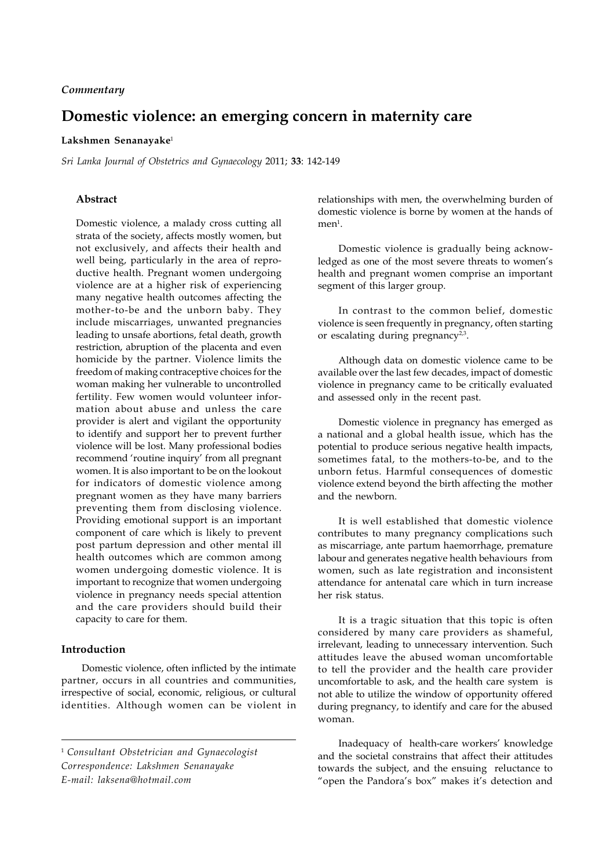## *Commentary*

# **Domestic violence: an emerging concern in maternity care**

## **Lakshmen Senanayake**<sup>1</sup>

*Sri Lanka Journal of Obstetrics and Gynaecology* 2011; **33**: 142-149

## **Abstract**

Domestic violence, a malady cross cutting all strata of the society, affects mostly women, but not exclusively, and affects their health and well being, particularly in the area of reproductive health. Pregnant women undergoing violence are at a higher risk of experiencing many negative health outcomes affecting the mother-to-be and the unborn baby. They include miscarriages, unwanted pregnancies leading to unsafe abortions, fetal death, growth restriction, abruption of the placenta and even homicide by the partner. Violence limits the freedom of making contraceptive choices for the woman making her vulnerable to uncontrolled fertility. Few women would volunteer information about abuse and unless the care provider is alert and vigilant the opportunity to identify and support her to prevent further violence will be lost. Many professional bodies recommend 'routine inquiry' from all pregnant women. It is also important to be on the lookout for indicators of domestic violence among pregnant women as they have many barriers preventing them from disclosing violence. Providing emotional support is an important component of care which is likely to prevent post partum depression and other mental ill health outcomes which are common among women undergoing domestic violence. It is important to recognize that women undergoing violence in pregnancy needs special attention and the care providers should build their capacity to care for them.

# **Introduction**

Domestic violence, often inflicted by the intimate partner, occurs in all countries and communities, irrespective of social, economic, religious, or cultural identities. Although women can be violent in relationships with men, the overwhelming burden of domestic violence is borne by women at the hands of  $men<sup>1</sup>.$ 

Domestic violence is gradually being acknowledged as one of the most severe threats to women's health and pregnant women comprise an important segment of this larger group.

In contrast to the common belief, domestic violence is seen frequently in pregnancy, often starting or escalating during pregnancy $2,3$ .

Although data on domestic violence came to be available over the last few decades, impact of domestic violence in pregnancy came to be critically evaluated and assessed only in the recent past.

Domestic violence in pregnancy has emerged as a national and a global health issue, which has the potential to produce serious negative health impacts, sometimes fatal, to the mothers-to-be, and to the unborn fetus. Harmful consequences of domestic violence extend beyond the birth affecting the mother and the newborn.

It is well established that domestic violence contributes to many pregnancy complications such as miscarriage, ante partum haemorrhage, premature labour and generates negative health behaviours from women, such as late registration and inconsistent attendance for antenatal care which in turn increase her risk status.

It is a tragic situation that this topic is often considered by many care providers as shameful, irrelevant, leading to unnecessary intervention. Such attitudes leave the abused woman uncomfortable to tell the provider and the health care provider uncomfortable to ask, and the health care system is not able to utilize the window of opportunity offered during pregnancy, to identify and care for the abused woman.

Inadequacy of health-care workers' knowledge and the societal constrains that affect their attitudes towards the subject, and the ensuing reluctance to "open the Pandora's box" makes it's detection and

<sup>1</sup> *Consultant Obstetrician and Gynaecologist Correspondence: Lakshmen Senanayake E-mail: laksena@hotmail.com*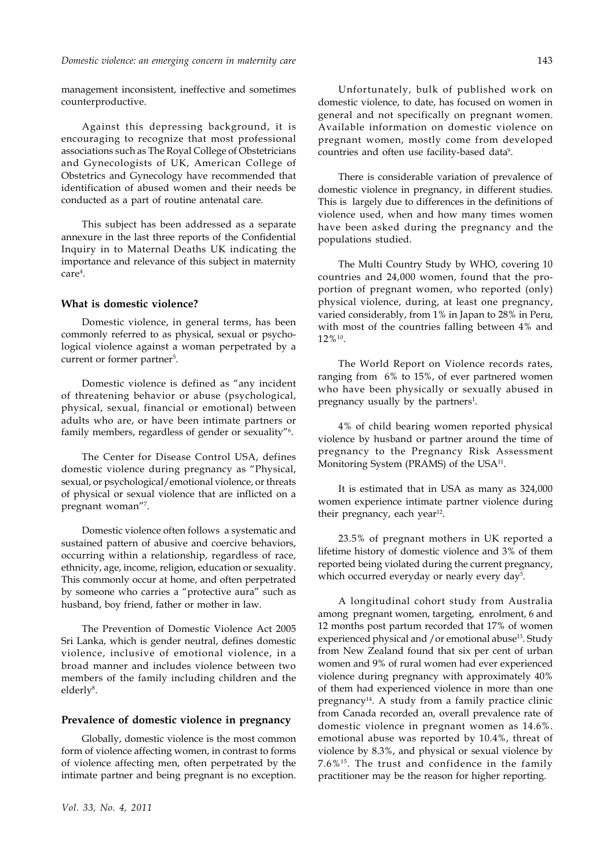#### *Domestic violence: an emerging concern in maternity care*

management inconsistent, ineffective and sometimes counterproductive.

Against this depressing background, it is encouraging to recognize that most professional associations such as The Royal College of Obstetricians and Gynecologists of UK, American College of Obstetrics and Gynecology have recommended that identification of abused women and their needs be conducted as a part of routine antenatal care.

This subject has been addressed as a separate annexure in the last three reports of the Confidential Inquiry in to Maternal Deaths UK indicating the importance and relevance of this subject in maternity care4 .

#### **What is domestic violence?**

Domestic violence, in general terms, has been commonly referred to as physical, sexual or psychological violence against a woman perpetrated by a current or former partner<sup>5</sup>.

Domestic violence is defined as "any incident of threatening behavior or abuse (psychological, physical, sexual, financial or emotional) between adults who are, or have been intimate partners or family members, regardless of gender or sexuality"6 .

The Center for Disease Control USA, defines domestic violence during pregnancy as "Physical, sexual, or psychological/emotional violence, or threats of physical or sexual violence that are inflicted on a pregnant woman"7 .

Domestic violence often follows a systematic and sustained pattern of abusive and coercive behaviors, occurring within a relationship, regardless of race, ethnicity, age, income, religion, education or sexuality. This commonly occur at home, and often perpetrated by someone who carries a "protective aura" such as husband, boy friend, father or mother in law.

The Prevention of Domestic Violence Act 2005 Sri Lanka, which is gender neutral, defines domestic violence, inclusive of emotional violence, in a broad manner and includes violence between two members of the family including children and the elderly<sup>8</sup>.

#### **Prevalence of domestic violence in pregnancy**

Globally, domestic violence is the most common form of violence affecting women, in contrast to forms of violence affecting men, often perpetrated by the intimate partner and being pregnant is no exception.

Unfortunately, bulk of published work on domestic violence, to date, has focused on women in general and not specifically on pregnant women. Available information on domestic violence on pregnant women, mostly come from developed countries and often use facility-based data<sup>9</sup>.

There is considerable variation of prevalence of domestic violence in pregnancy, in different studies. This is largely due to differences in the definitions of violence used, when and how many times women have been asked during the pregnancy and the populations studied.

The Multi Country Study by WHO, covering 10 countries and 24,000 women, found that the proportion of pregnant women, who reported (only) physical violence, during, at least one pregnancy, varied considerably, from 1% in Japan to 28% in Peru, with most of the countries falling between 4% and 12%10.

The World Report on Violence records rates, ranging from 6% to 15%, of ever partnered women who have been physically or sexually abused in pregnancy usually by the partners<sup>1</sup>.

4% of child bearing women reported physical violence by husband or partner around the time of pregnancy to the Pregnancy Risk Assessment Monitoring System (PRAMS) of the USA<sup>11</sup>.

It is estimated that in USA as many as 324,000 women experience intimate partner violence during their pregnancy, each year $^{12}$ .

23.5% of pregnant mothers in UK reported a lifetime history of domestic violence and 3% of them reported being violated during the current pregnancy, which occurred everyday or nearly every day<sup>5</sup>.

A longitudinal cohort study from Australia among pregnant women, targeting, enrolment, 6 and 12 months post partum recorded that 17% of women experienced physical and /or emotional abuse<sup>13</sup>. Study from New Zealand found that six per cent of urban women and 9% of rural women had ever experienced violence during pregnancy with approximately 40% of them had experienced violence in more than one pregnancy<sup>14</sup>. A study from a family practice clinic from Canada recorded an, overall prevalence rate of domestic violence in pregnant women as 14.6%. emotional abuse was reported by 10.4%, threat of violence by 8.3%, and physical or sexual violence by 7.6%15. The trust and confidence in the family practitioner may be the reason for higher reporting.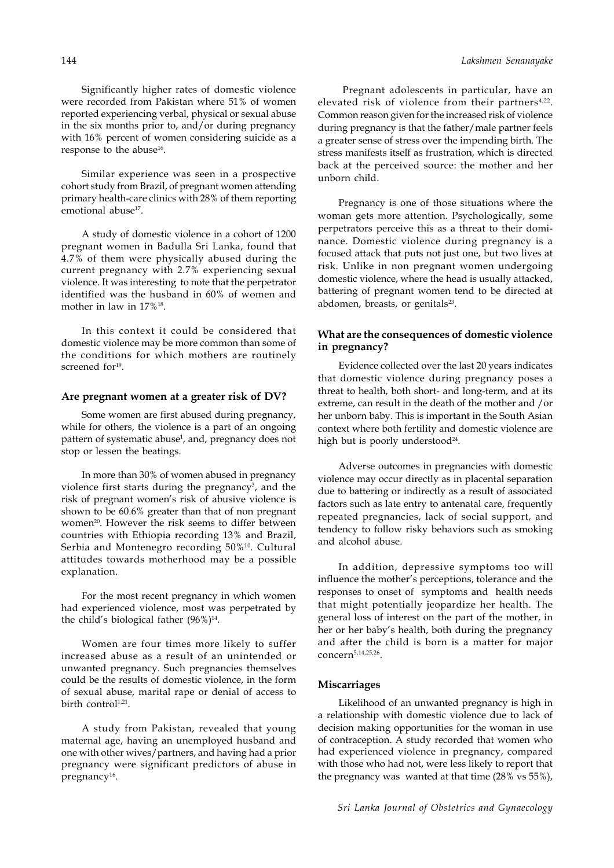144

Significantly higher rates of domestic violence were recorded from Pakistan where 51% of women reported experiencing verbal, physical or sexual abuse in the six months prior to, and/or during pregnancy with 16% percent of women considering suicide as a response to the abuse<sup>16</sup>.

Similar experience was seen in a prospective cohort study from Brazil, of pregnant women attending primary health-care clinics with 28% of them reporting emotional abuse<sup>17</sup>.

A study of domestic violence in a cohort of 1200 pregnant women in Badulla Sri Lanka, found that 4.7% of them were physically abused during the current pregnancy with 2.7% experiencing sexual violence. It was interesting to note that the perpetrator identified was the husband in 60% of women and mother in law in 17%18.

In this context it could be considered that domestic violence may be more common than some of the conditions for which mothers are routinely screened for<sup>19</sup>.

#### **Are pregnant women at a greater risk of DV?**

Some women are first abused during pregnancy, while for others, the violence is a part of an ongoing pattern of systematic abuse<sup>1</sup>, and, pregnancy does not stop or lessen the beatings.

In more than 30% of women abused in pregnancy violence first starts during the pregnancy<sup>3</sup>, and the risk of pregnant women's risk of abusive violence is shown to be 60.6% greater than that of non pregnant women<sup>20</sup>. However the risk seems to differ between countries with Ethiopia recording 13% and Brazil, Serbia and Montenegro recording 50%10. Cultural attitudes towards motherhood may be a possible explanation.

For the most recent pregnancy in which women had experienced violence, most was perpetrated by the child's biological father  $(96\%)^{14}$ .

Women are four times more likely to suffer increased abuse as a result of an unintended or unwanted pregnancy. Such pregnancies themselves could be the results of domestic violence, in the form of sexual abuse, marital rape or denial of access to birth control<sup>1,21</sup>.

A study from Pakistan, revealed that young maternal age, having an unemployed husband and one with other wives/partners, and having had a prior pregnancy were significant predictors of abuse in pregnancy<sup>16</sup>.

 Pregnant adolescents in particular, have an elevated risk of violence from their partners<sup>4,22</sup>. Common reason given for the increased risk of violence during pregnancy is that the father/male partner feels a greater sense of stress over the impending birth. The stress manifests itself as frustration, which is directed back at the perceived source: the mother and her unborn child.

Pregnancy is one of those situations where the woman gets more attention. Psychologically, some perpetrators perceive this as a threat to their dominance. Domestic violence during pregnancy is a focused attack that puts not just one, but two lives at risk. Unlike in non pregnant women undergoing domestic violence, where the head is usually attacked, battering of pregnant women tend to be directed at abdomen, breasts, or genitals $23$ .

# **What are the consequences of domestic violence in pregnancy?**

Evidence collected over the last 20 years indicates that domestic violence during pregnancy poses a threat to health, both short- and long-term, and at its extreme, can result in the death of the mother and /or her unborn baby. This is important in the South Asian context where both fertility and domestic violence are high but is poorly understood<sup>24</sup>.

Adverse outcomes in pregnancies with domestic violence may occur directly as in placental separation due to battering or indirectly as a result of associated factors such as late entry to antenatal care, frequently repeated pregnancies, lack of social support, and tendency to follow risky behaviors such as smoking and alcohol abuse.

In addition, depressive symptoms too will influence the mother's perceptions, tolerance and the responses to onset of symptoms and health needs that might potentially jeopardize her health. The general loss of interest on the part of the mother, in her or her baby's health, both during the pregnancy and after the child is born is a matter for major concern5,14,25,26.

#### **Miscarriages**

Likelihood of an unwanted pregnancy is high in a relationship with domestic violence due to lack of decision making opportunities for the woman in use of contraception. A study recorded that women who had experienced violence in pregnancy, compared with those who had not, were less likely to report that the pregnancy was wanted at that time (28% vs 55%),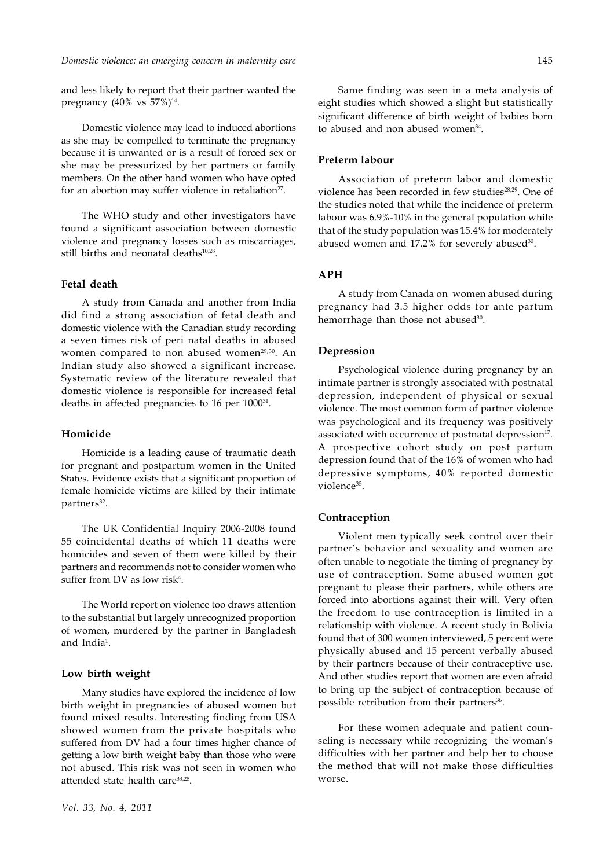and less likely to report that their partner wanted the pregnancy  $(40\% \text{ vs } 57\%)^{14}$ .

Domestic violence may lead to induced abortions as she may be compelled to terminate the pregnancy because it is unwanted or is a result of forced sex or she may be pressurized by her partners or family members. On the other hand women who have opted for an abortion may suffer violence in retaliation<sup>27</sup>.

The WHO study and other investigators have found a significant association between domestic violence and pregnancy losses such as miscarriages, still births and neonatal deaths<sup>10,28</sup>.

#### **Fetal death**

A study from Canada and another from India did find a strong association of fetal death and domestic violence with the Canadian study recording a seven times risk of peri natal deaths in abused women compared to non abused women<sup>29,30</sup>. An Indian study also showed a significant increase. Systematic review of the literature revealed that domestic violence is responsible for increased fetal deaths in affected pregnancies to 16 per 1000<sup>31</sup>.

### **Homicide**

Homicide is a leading cause of traumatic death for pregnant and postpartum women in the United States. Evidence exists that a significant proportion of female homicide victims are killed by their intimate partners<sup>32</sup>.

The UK Confidential Inquiry 2006-2008 found 55 coincidental deaths of which 11 deaths were homicides and seven of them were killed by their partners and recommends not to consider women who suffer from DV as low risk<sup>4</sup>.

The World report on violence too draws attention to the substantial but largely unrecognized proportion of women, murdered by the partner in Bangladesh and India<sup>1</sup>.

## **Low birth weight**

Many studies have explored the incidence of low birth weight in pregnancies of abused women but found mixed results. Interesting finding from USA showed women from the private hospitals who suffered from DV had a four times higher chance of getting a low birth weight baby than those who were not abused. This risk was not seen in women who attended state health care<sup>33,28</sup>.

Same finding was seen in a meta analysis of eight studies which showed a slight but statistically significant difference of birth weight of babies born to abused and non abused women<sup>34</sup>.

#### **Preterm labour**

Association of preterm labor and domestic violence has been recorded in few studies<sup>28,29</sup>. One of the studies noted that while the incidence of preterm labour was 6.9%-10% in the general population while that of the study population was 15.4% for moderately abused women and 17.2% for severely abused<sup>30</sup>.

### **APH**

A study from Canada on women abused during pregnancy had 3.5 higher odds for ante partum hemorrhage than those not abused<sup>30</sup>.

## **Depression**

Psychological violence during pregnancy by an intimate partner is strongly associated with postnatal depression, independent of physical or sexual violence. The most common form of partner violence was psychological and its frequency was positively associated with occurrence of postnatal depression<sup>17</sup>. A prospective cohort study on post partum depression found that of the 16% of women who had depressive symptoms, 40% reported domestic violence<sup>35</sup>.

## **Contraception**

Violent men typically seek control over their partner's behavior and sexuality and women are often unable to negotiate the timing of pregnancy by use of contraception. Some abused women got pregnant to please their partners, while others are forced into abortions against their will. Very often the freedom to use contraception is limited in a relationship with violence. A recent study in Bolivia found that of 300 women interviewed, 5 percent were physically abused and 15 percent verbally abused by their partners because of their contraceptive use. And other studies report that women are even afraid to bring up the subject of contraception because of possible retribution from their partners<sup>36</sup>.

For these women adequate and patient counseling is necessary while recognizing the woman's difficulties with her partner and help her to choose the method that will not make those difficulties worse.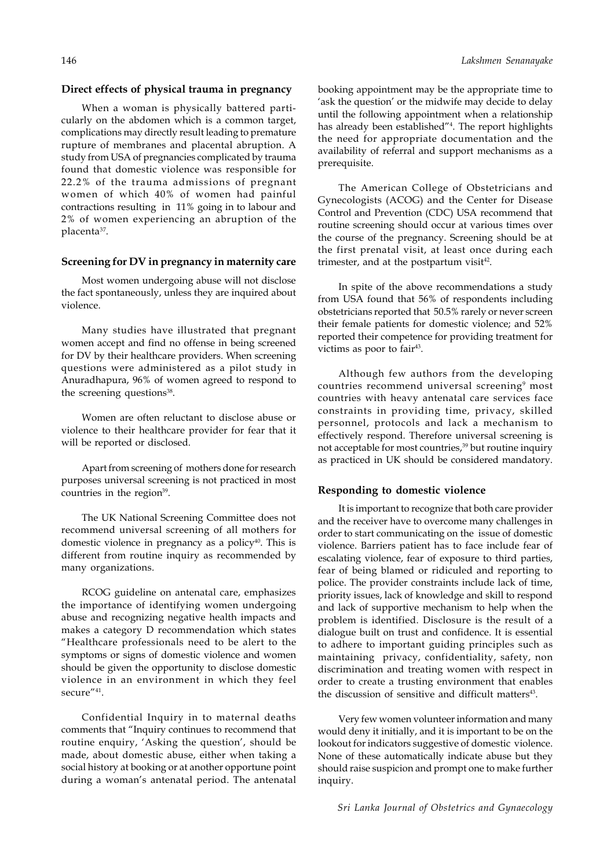#### **Direct effects of physical trauma in pregnancy**

When a woman is physically battered particularly on the abdomen which is a common target, complications may directly result leading to premature rupture of membranes and placental abruption. A study from USA of pregnancies complicated by trauma found that domestic violence was responsible for 22.2% of the trauma admissions of pregnant women of which 40% of women had painful contractions resulting in 11% going in to labour and 2% of women experiencing an abruption of the placenta<sup>37</sup>.

# **Screening for DV in pregnancy in maternity care**

Most women undergoing abuse will not disclose the fact spontaneously, unless they are inquired about violence.

Many studies have illustrated that pregnant women accept and find no offense in being screened for DV by their healthcare providers. When screening questions were administered as a pilot study in Anuradhapura, 96% of women agreed to respond to the screening questions<sup>38</sup>.

Women are often reluctant to disclose abuse or violence to their healthcare provider for fear that it will be reported or disclosed.

Apart from screening of mothers done for research purposes universal screening is not practiced in most countries in the region<sup>39</sup>.

The UK National Screening Committee does not recommend universal screening of all mothers for domestic violence in pregnancy as a policy<sup>40</sup>. This is different from routine inquiry as recommended by many organizations.

RCOG guideline on antenatal care, emphasizes the importance of identifying women undergoing abuse and recognizing negative health impacts and makes a category D recommendation which states "Healthcare professionals need to be alert to the symptoms or signs of domestic violence and women should be given the opportunity to disclose domestic violence in an environment in which they feel secure"<sup>41</sup>.

Confidential Inquiry in to maternal deaths comments that "Inquiry continues to recommend that routine enquiry, 'Asking the question', should be made, about domestic abuse, either when taking a social history at booking or at another opportune point during a woman's antenatal period. The antenatal

booking appointment may be the appropriate time to 'ask the question' or the midwife may decide to delay until the following appointment when a relationship has already been established"4 . The report highlights the need for appropriate documentation and the availability of referral and support mechanisms as a prerequisite.

The American College of Obstetricians and Gynecologists (ACOG) and the Center for Disease Control and Prevention (CDC) USA recommend that routine screening should occur at various times over the course of the pregnancy. Screening should be at the first prenatal visit, at least once during each trimester, and at the postpartum visit $42$ .

In spite of the above recommendations a study from USA found that 56% of respondents including obstetricians reported that 50.5% rarely or never screen their female patients for domestic violence; and 52% reported their competence for providing treatment for victims as poor to fair<sup>43</sup>.

Although few authors from the developing countries recommend universal screening<sup>9</sup> most countries with heavy antenatal care services face constraints in providing time, privacy, skilled personnel, protocols and lack a mechanism to effectively respond. Therefore universal screening is not acceptable for most countries,<sup>39</sup> but routine inquiry as practiced in UK should be considered mandatory.

#### **Responding to domestic violence**

It is important to recognize that both care provider and the receiver have to overcome many challenges in order to start communicating on the issue of domestic violence. Barriers patient has to face include fear of escalating violence, fear of exposure to third parties, fear of being blamed or ridiculed and reporting to police. The provider constraints include lack of time, priority issues, lack of knowledge and skill to respond and lack of supportive mechanism to help when the problem is identified. Disclosure is the result of a dialogue built on trust and confidence. It is essential to adhere to important guiding principles such as maintaining privacy, confidentiality, safety, non discrimination and treating women with respect in order to create a trusting environment that enables the discussion of sensitive and difficult matters $43$ .

Very few women volunteer information and many would deny it initially, and it is important to be on the lookout for indicators suggestive of domestic violence. None of these automatically indicate abuse but they should raise suspicion and prompt one to make further inquiry.

*Lakshmen Senanayake*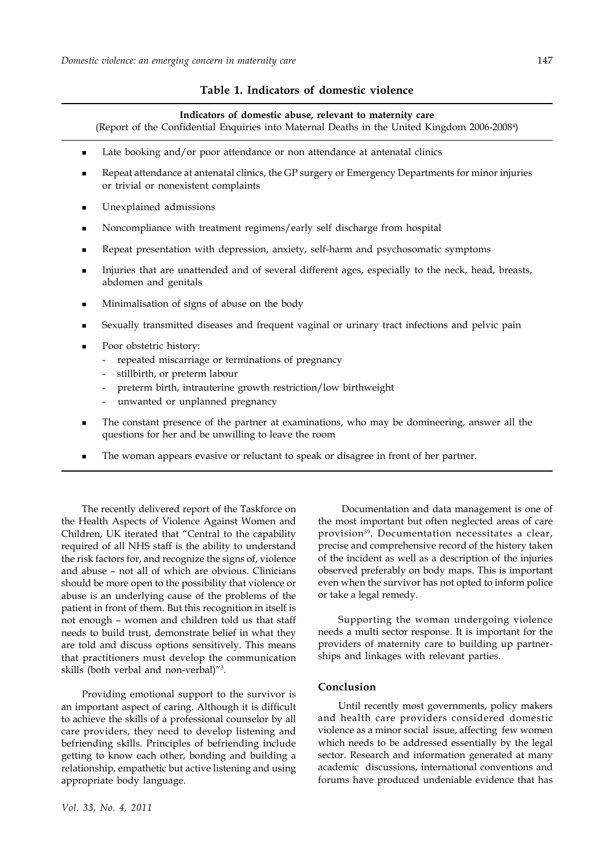## **Table 1. Indicators of domestic violence**

#### **Indicators of domestic abuse, relevant to maternity care**

(Report of the Confidential Enquiries into Maternal Deaths in the United Kingdom 2006-20084 )

- Late booking and/or poor attendance or non attendance at antenatal clinics
- Repeat attendance at antenatal clinics, the GP surgery or Emergency Departments for minor injuries or trivial or nonexistent complaints
- Unexplained admissions
- Noncompliance with treatment regimens/early self discharge from hospital
- Repeat presentation with depression, anxiety, self-harm and psychosomatic symptoms
- Injuries that are unattended and of several different ages, especially to the neck, head, breasts, abdomen and genitals
- Minimalisation of signs of abuse on the body
- Sexually transmitted diseases and frequent vaginal or urinary tract infections and pelvic pain
- Poor obstetric history:
	- repeated miscarriage or terminations of pregnancy
	- stillbirth, or preterm labour
	- preterm birth, intrauterine growth restriction/low birthweight
	- unwanted or unplanned pregnancy
- The constant presence of the partner at examinations, who may be domineering, answer all the questions for her and be unwilling to leave the room
- The woman appears evasive or reluctant to speak or disagree in front of her partner.

The recently delivered report of the Taskforce on the Health Aspects of Violence Against Women and Children, UK iterated that "Central to the capability required of all NHS staff is the ability to understand the risk factors for, and recognize the signs of, violence and abuse – not all of which are obvious. Clinicians should be more open to the possibility that violence or abuse is an underlying cause of the problems of the patient in front of them. But this recognition in itself is not enough – women and children told us that staff needs to build trust, demonstrate belief in what they are told and discuss options sensitively. This means that practitioners must develop the communication skills (both verbal and non-verbal)"3 .

Providing emotional support to the survivor is an important aspect of caring. Although it is difficult to achieve the skills of a professional counselor by all care providers, they need to develop listening and befriending skills. Principles of befriending include getting to know each other, bonding and building a relationship, empathetic but active listening and using appropriate body language.

 Documentation and data management is one of the most important but often neglected areas of care provision<sup>39</sup>. Documentation necessitates a clear, precise and comprehensive record of the history taken of the incident as well as a description of the injuries observed preferably on body maps. This is important even when the survivor has not opted to inform police or take a legal remedy.

Supporting the woman undergoing violence needs a multi sector response. It is important for the providers of maternity care to building up partnerships and linkages with relevant parties.

## **Conclusion**

Until recently most governments, policy makers and health care providers considered domestic violence as a minor social issue, affecting few women which needs to be addressed essentially by the legal sector. Research and information generated at many academic discussions, international conventions and forums have produced undeniable evidence that has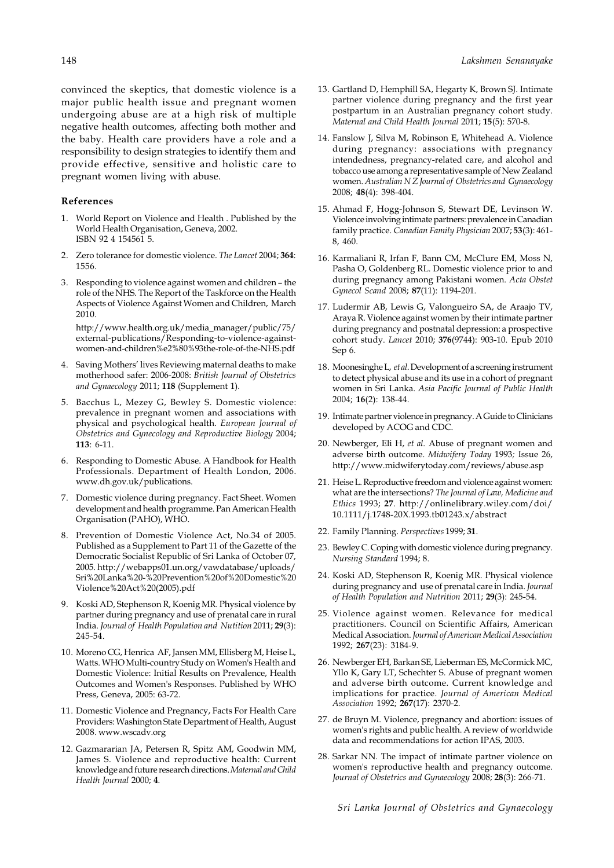convinced the skeptics, that domestic violence is a major public health issue and pregnant women undergoing abuse are at a high risk of multiple negative health outcomes, affecting both mother and the baby. Health care providers have a role and a responsibility to design strategies to identify them and provide effective, sensitive and holistic care to pregnant women living with abuse.

### **References**

- 1. World Report on Violence and Health . Published by the World Health Organisation, Geneva, 2002. ISBN 92 4 154561 5.
- 2. Zero tolerance for domestic violence. *The Lancet* 2004; **364**: 1556.
- 3. Responding to violence against women and children the role of the NHS. The Report of the Taskforce on the Health Aspects of Violence Against Women and Children, March 2010.

http://www.health.org.uk/media\_manager/public/75/ external-publications/Responding-to-violence-againstwomen-and-children%e2%80%93the-role-of-the-NHS.pdf

- 4. Saving Mothers' lives Reviewing maternal deaths to make motherhood safer: 2006-2008: *British Journal of Obstetrics and Gynaecology* 2011; **118** (Supplement 1).
- 5. Bacchus L, Mezey G, Bewley S. Domestic violence: prevalence in pregnant women and associations with physical and psychological health. *European Journal of Obstetrics and Gynecology and Reproductive Biology* 2004; **113**: 6-11.
- 6. Responding to Domestic Abuse. A Handbook for Health Professionals. Department of Health London, 2006. www.dh.gov.uk/publications.
- 7. Domestic violence during pregnancy. Fact Sheet. Women development and health programme. Pan American Health Organisation (PAHO), WHO.
- 8. Prevention of Domestic Violence Act, No.34 of 2005. Published as a Supplement to Part 11 of the Gazette of the Democratic Socialist Republic of Sri Lanka of October 07, 2005. http://webapps01.un.org/vawdatabase/uploads/ Sri%20Lanka%20-%20Prevention%20of%20Domestic%20 Violence%20Act%20(2005).pdf
- 9. Koski AD, Stephenson R, Koenig MR. Physical violence by partner during pregnancy and use of prenatal care in rural India. *Journal of Health Population and Nutition* 2011; **29**(3): 245-54.
- 10. Moreno CG, Henrica AF, Jansen MM, Ellisberg M, Heise L, Watts. WHO Multi-country Study on Women's Health and Domestic Violence: Initial Results on Prevalence, Health Outcomes and Women's Responses. Published by WHO Press, Geneva, 2005: 63-72.
- 11. Domestic Violence and Pregnancy, Facts For Health Care Providers: Washington State Department of Health, August 2008. www.wscadv.org
- 12. Gazmararian JA, Petersen R, Spitz AM, Goodwin MM, James S. Violence and reproductive health: Current knowledge and future research directions. *Maternal and Child Health Journal* 2000; **4**.
- 13. Gartland D, Hemphill SA, Hegarty K, Brown SJ. Intimate partner violence during pregnancy and the first year postpartum in an Australian pregnancy cohort study. *Maternal and Child Health Journal* 2011; **15**(5): 570-8.
- 14. Fanslow J, Silva M, Robinson E, Whitehead A. Violence during pregnancy: associations with pregnancy intendedness, pregnancy-related care, and alcohol and tobacco use among a representative sample of New Zealand women. *Australian N Z Journal of Obstetrics and Gynaecology* 2008; **48**(4): 398-404.
- 15. Ahmad F, Hogg-Johnson S, Stewart DE, Levinson W. Violence involving intimate partners: prevalence in Canadian family practice. *Canadian Family Physician* 2007; **53**(3): 461- 8, 460.
- 16. Karmaliani R, Irfan F, Bann CM, McClure EM, Moss N, Pasha O, Goldenberg RL. Domestic violence prior to and during pregnancy among Pakistani women. *Acta Obstet Gynecol Scand* 2008; **87**(11): 1194-201.
- 17. Ludermir AB, Lewis G, Valongueiro SA, de Araajo TV, Araya R. Violence against women by their intimate partner during pregnancy and postnatal depression: a prospective cohort study. *Lancet* 2010; **376**(9744): 903-10. Epub 2010 Sep 6.
- 18. Moonesinghe L, *et al*. Development of a screening instrument to detect physical abuse and its use in a cohort of pregnant women in Sri Lanka. *Asia Pacific Journal of Public Health* 2004; **16**(2): 138-44.
- 19. Intimate partner violence in pregnancy. A Guide to Clinicians developed by ACOG and CDC.
- 20. Newberger, Eli H, *et al.* Abuse of pregnant women and adverse birth outcome. *Midwifery Today* 1993*;* Issue 26, http://www.midwiferytoday.com/reviews/abuse.asp
- 21. Heise L. Reproductive freedom and violence against women: what are the intersections? *The Journal of Law, Medicine and Ethics* 1993; **27**. http://onlinelibrary.wiley.com/doi/ 10.1111/j.1748-20X.1993.tb01243.x/abstract
- 22. Family Planning. *Perspectives* 1999; **31**.
- 23. Bewley C. Coping with domestic violence during pregnancy. *Nursing Standard* 1994; 8.
- 24. Koski AD, Stephenson R, Koenig MR. Physical violence during pregnancy and use of prenatal care in India. *Journal of Health Population and Nutrition* 2011; **29**(3): 245-54.
- 25. Violence against women. Relevance for medical practitioners. Council on Scientific Affairs, American Medical Association. *Journal of American Medical Association* 1992; **267**(23): 3184-9.
- 26. Newberger EH, Barkan SE, Lieberman ES, McCormick MC, Yllo K, Gary LT, Schechter S. Abuse of pregnant women and adverse birth outcome. Current knowledge and implications for practice. *Journal of American Medical Association* 1992; **267**(17): 2370-2.
- 27. de Bruyn M. Violence, pregnancy and abortion: issues of women's rights and public health. A review of worldwide data and recommendations for action IPAS, 2003.
- 28. Sarkar NN. The impact of intimate partner violence on women's reproductive health and pregnancy outcome. *Journal of Obstetrics and Gynaecology* 2008; **28**(3): 266-71.

*Sri Lanka Journal of Obstetrics and Gynaecology*